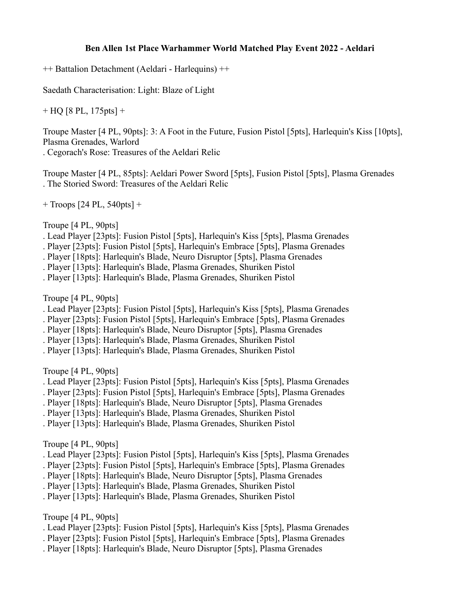## **Ben Allen 1st Place Warhammer World Matched Play Event 2022 - Aeldari**

++ Battalion Detachment (Aeldari - Harlequins) ++

Saedath Characterisation: Light: Blaze of Light

 $+$  HQ [8 PL, 175 pts]  $+$ 

Troupe Master [4 PL, 90pts]: 3: A Foot in the Future, Fusion Pistol [5pts], Harlequin's Kiss [10pts], Plasma Grenades, Warlord

. Cegorach's Rose: Treasures of the Aeldari Relic

Troupe Master [4 PL, 85pts]: Aeldari Power Sword [5pts], Fusion Pistol [5pts], Plasma Grenades . The Storied Sword: Treasures of the Aeldari Relic

+ Troops [24 PL, 540pts] +

Troupe [4 PL, 90pts]

- . Lead Player [23pts]: Fusion Pistol [5pts], Harlequin's Kiss [5pts], Plasma Grenades
- . Player [23pts]: Fusion Pistol [5pts], Harlequin's Embrace [5pts], Plasma Grenades

. Player [18pts]: Harlequin's Blade, Neuro Disruptor [5pts], Plasma Grenades

. Player [13pts]: Harlequin's Blade, Plasma Grenades, Shuriken Pistol

. Player [13pts]: Harlequin's Blade, Plasma Grenades, Shuriken Pistol

Troupe [4 PL, 90pts]

. Lead Player [23pts]: Fusion Pistol [5pts], Harlequin's Kiss [5pts], Plasma Grenades

. Player [23pts]: Fusion Pistol [5pts], Harlequin's Embrace [5pts], Plasma Grenades

. Player [18pts]: Harlequin's Blade, Neuro Disruptor [5pts], Plasma Grenades

. Player [13pts]: Harlequin's Blade, Plasma Grenades, Shuriken Pistol

. Player [13pts]: Harlequin's Blade, Plasma Grenades, Shuriken Pistol

Troupe [4 PL, 90pts]

. Lead Player [23pts]: Fusion Pistol [5pts], Harlequin's Kiss [5pts], Plasma Grenades

- . Player [23pts]: Fusion Pistol [5pts], Harlequin's Embrace [5pts], Plasma Grenades
- . Player [18pts]: Harlequin's Blade, Neuro Disruptor [5pts], Plasma Grenades

. Player [13pts]: Harlequin's Blade, Plasma Grenades, Shuriken Pistol

. Player [13pts]: Harlequin's Blade, Plasma Grenades, Shuriken Pistol

Troupe [4 PL, 90pts]

. Lead Player [23pts]: Fusion Pistol [5pts], Harlequin's Kiss [5pts], Plasma Grenades

. Player [23pts]: Fusion Pistol [5pts], Harlequin's Embrace [5pts], Plasma Grenades

. Player [18pts]: Harlequin's Blade, Neuro Disruptor [5pts], Plasma Grenades

. Player [13pts]: Harlequin's Blade, Plasma Grenades, Shuriken Pistol

. Player [13pts]: Harlequin's Blade, Plasma Grenades, Shuriken Pistol

Troupe [4 PL, 90pts]

- . Lead Player [23pts]: Fusion Pistol [5pts], Harlequin's Kiss [5pts], Plasma Grenades
- . Player [23pts]: Fusion Pistol [5pts], Harlequin's Embrace [5pts], Plasma Grenades
- . Player [18pts]: Harlequin's Blade, Neuro Disruptor [5pts], Plasma Grenades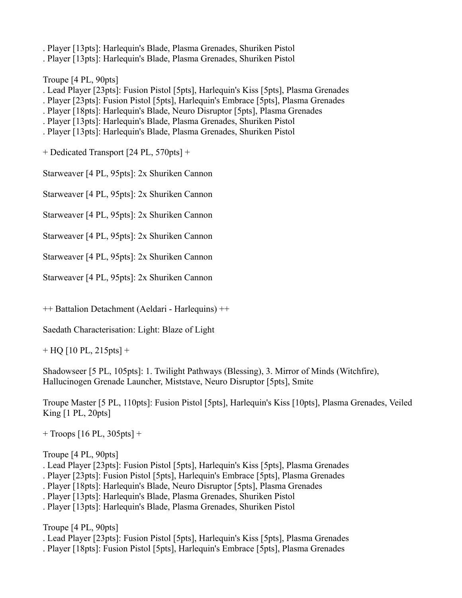- . Player [13pts]: Harlequin's Blade, Plasma Grenades, Shuriken Pistol
- . Player [13pts]: Harlequin's Blade, Plasma Grenades, Shuriken Pistol

Troupe [4 PL, 90pts]

- . Lead Player [23pts]: Fusion Pistol [5pts], Harlequin's Kiss [5pts], Plasma Grenades
- . Player [23pts]: Fusion Pistol [5pts], Harlequin's Embrace [5pts], Plasma Grenades
- . Player [18pts]: Harlequin's Blade, Neuro Disruptor [5pts], Plasma Grenades
- . Player [13pts]: Harlequin's Blade, Plasma Grenades, Shuriken Pistol
- . Player [13pts]: Harlequin's Blade, Plasma Grenades, Shuriken Pistol

+ Dedicated Transport [24 PL, 570pts] +

Starweaver [4 PL, 95pts]: 2x Shuriken Cannon

Starweaver [4 PL, 95pts]: 2x Shuriken Cannon

Starweaver [4 PL, 95pts]: 2x Shuriken Cannon

Starweaver [4 PL, 95pts]: 2x Shuriken Cannon

Starweaver [4 PL, 95pts]: 2x Shuriken Cannon

Starweaver [4 PL, 95pts]: 2x Shuriken Cannon

++ Battalion Detachment (Aeldari - Harlequins) ++

Saedath Characterisation: Light: Blaze of Light

 $+$  HQ [10 PL, 215 pts]  $+$ 

Shadowseer [5 PL, 105pts]: 1. Twilight Pathways (Blessing), 3. Mirror of Minds (Witchfire), Hallucinogen Grenade Launcher, Miststave, Neuro Disruptor [5pts], Smite

Troupe Master [5 PL, 110pts]: Fusion Pistol [5pts], Harlequin's Kiss [10pts], Plasma Grenades, Veiled King [1 PL, 20pts]

 $+$  Troops [16 PL, 305pts]  $+$ 

## Troupe [4 PL, 90pts]

- . Lead Player [23pts]: Fusion Pistol [5pts], Harlequin's Kiss [5pts], Plasma Grenades
- . Player [23pts]: Fusion Pistol [5pts], Harlequin's Embrace [5pts], Plasma Grenades
- . Player [18pts]: Harlequin's Blade, Neuro Disruptor [5pts], Plasma Grenades
- . Player [13pts]: Harlequin's Blade, Plasma Grenades, Shuriken Pistol
- . Player [13pts]: Harlequin's Blade, Plasma Grenades, Shuriken Pistol

Troupe [4 PL, 90pts]

- . Lead Player [23pts]: Fusion Pistol [5pts], Harlequin's Kiss [5pts], Plasma Grenades
- . Player [18pts]: Fusion Pistol [5pts], Harlequin's Embrace [5pts], Plasma Grenades